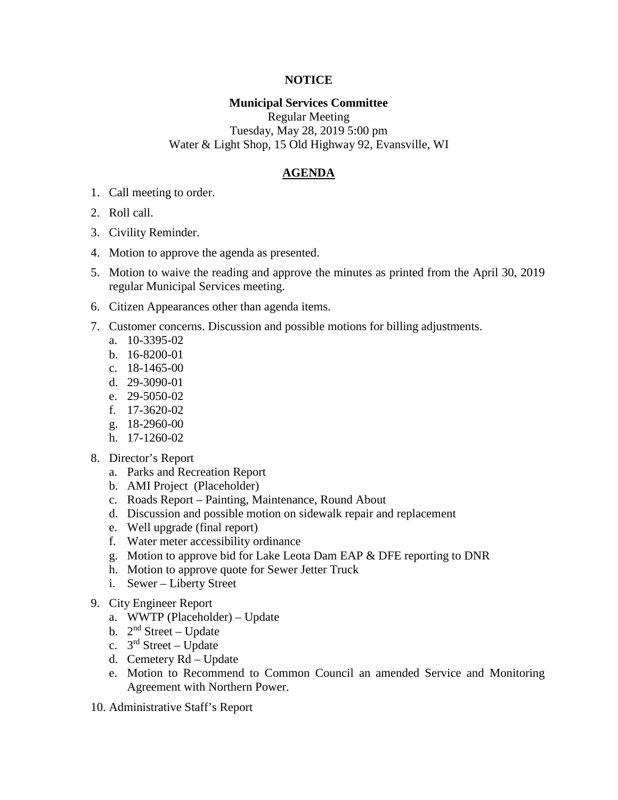## **NOTICE**

## **Municipal Services Committee**

Regular Meeting Tuesday, May 28, 2019 5:00 pm Water & Light Shop, 15 Old Highway 92, Evansville, WI

## **AGENDA**

- 1. Call meeting to order.
- 2. Roll call.
- 3. Civility Reminder.
- 4. Motion to approve the agenda as presented.
- 5. Motion to waive the reading and approve the minutes as printed from the April 30, 2019 regular Municipal Services meeting.
- 6. Citizen Appearances other than agenda items.
- 7. Customer concerns. Discussion and possible motions for billing adjustments.
	- a. 10-3395-02
	- b. 16-8200-01
	- c. 18-1465-00
	- d. 29-3090-01
	- e. 29-5050-02
	- f. 17-3620-02
	- g. 18-2960-00
	- h. 17-1260-02
- 8. Director's Report
	- a. Parks and Recreation Report
	- b. AMI Project (Placeholder)
	- c. Roads Report Painting, Maintenance, Round About
	- d. Discussion and possible motion on sidewalk repair and replacement
	- e. Well upgrade (final report)
	- f. Water meter accessibility ordinance
	- g. Motion to approve bid for Lake Leota Dam EAP & DFE reporting to DNR
	- h. Motion to approve quote for Sewer Jetter Truck
	- i. Sewer Liberty Street
- 9. City Engineer Report
	- a. WWTP (Placeholder) Update
	- b.  $2<sup>nd</sup> Street Update$
	- c.  $3<sup>rd</sup>$  Street Update
	- d. Cemetery Rd Update
	- e. Motion to Recommend to Common Council an amended Service and Monitoring Agreement with Northern Power.
- 10. Administrative Staff's Report